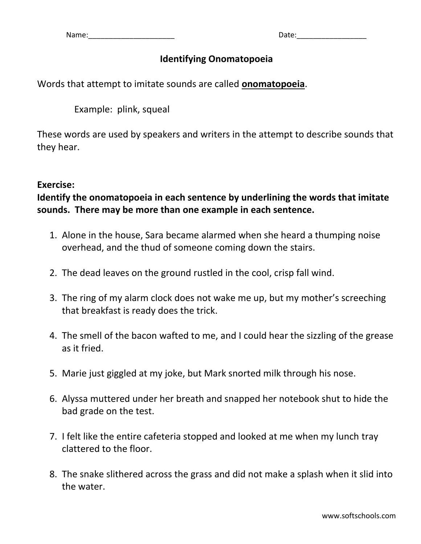## **Identifying Onomatopoeia**

Words that attempt to imitate sounds are called **onomatopoeia**.

Example: plink, squeal

These words are used by speakers and writers in the attempt to describe sounds that they hear.

## **Exercise:**

**Identify the onomatopoeia in each sentence by underlining the words that imitate sounds. There may be more than one example in each sentence.**

- 1. Alone in the house, Sara became alarmed when she heard a thumping noise overhead, and the thud of someone coming down the stairs.
- 2. The dead leaves on the ground rustled in the cool, crisp fall wind.
- 3. The ring of my alarm clock does not wake me up, but my mother's screeching that breakfast is ready does the trick.
- 4. The smell of the bacon wafted to me, and I could hear the sizzling of the grease as it fried.
- 5. Marie just giggled at my joke, but Mark snorted milk through his nose.
- 6. Alyssa muttered under her breath and snapped her notebook shut to hide the bad grade on the test.
- 7. I felt like the entire cafeteria stopped and looked at me when my lunch tray clattered to the floor.
- 8. The snake slithered across the grass and did not make a splash when it slid into the water.